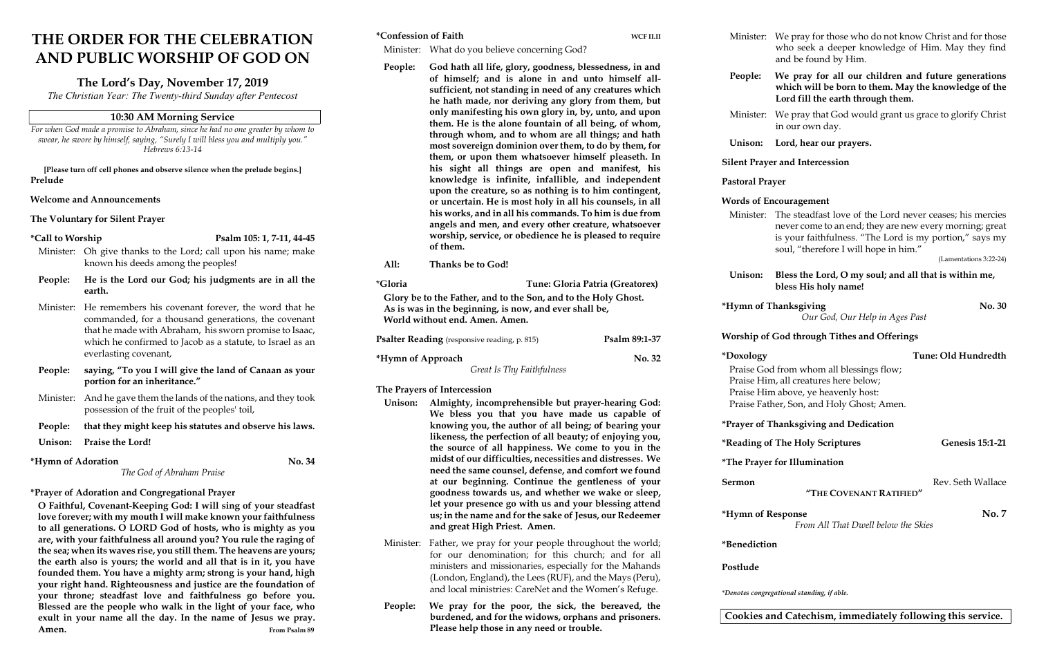# THE ORDER FOR THE CELEBRATION AND PUBLIC WORSHIP OF GOD ON

## The Lord's Day, November 17, 2019

The Christian Year: The Twenty-third Sunday after Pentecost

### 10:30 AM Morning Service

For when God made a promise to Abraham, since he had no one greater by whom to swear, he swore by himself, saying, "Surely I will bless you and multiply you." Hebrews 6:13-14

[Please turn off cell phones and observe silence when the prelude begins.] Prelude

### Welcome and Announcements

The Voluntary for Silent Prayer

 $*$ Call to Worship Psalm 105: 1, 7-11, 44-45

- Unison: Praise the Lord!
- \*Hymn of Adoration No. 34

O Faithful, Covenant-Keeping God: I will sing of your steadfast love forever; with my mouth I will make known your faithfulness to all generations. O LORD God of hosts, who is mighty as you are, with your faithfulness all around you? You rule the raging of the sea; when its waves rise, you still them. The heavens are yours; the earth also is yours; the world and all that is in it, you have founded them. You have a mighty arm; strong is your hand, high your right hand. Righteousness and justice are the foundation of your throne; steadfast love and faithfulness go before you. Blessed are the people who walk in the light of your face, who exult in your name all the day. In the name of Jesus we pray. Amen. From Psalm 89

- Minister: Oh give thanks to the Lord; call upon his name; make known his deeds among the peoples!
- People: He is the Lord our God; his judgments are in all the earth.
- Minister: He remembers his covenant forever, the word that he commanded, for a thousand generations, the covenant that he made with Abraham, his sworn promise to Isaac, which he confirmed to Jacob as a statute, to Israel as an everlasting covenant,
- People: saying, "To you I will give the land of Canaan as your portion for an inheritance."
- Minister: And he gave them the lands of the nations, and they took possession of the fruit of the peoples' toil,
- People: that they might keep his statutes and observe his laws.

The God of Abraham Praise

# \*Prayer of Adoration and Congregational Prayer

| *Confession of Faith<br>WCF II.II                                                                                                                          |                                                                                                                                                                                                                                                                                                                                                                                  |  |                                                                                      | Minister: We pray for those who do not know Christ and for those                                                                                                                                                                  |  |
|------------------------------------------------------------------------------------------------------------------------------------------------------------|----------------------------------------------------------------------------------------------------------------------------------------------------------------------------------------------------------------------------------------------------------------------------------------------------------------------------------------------------------------------------------|--|--------------------------------------------------------------------------------------|-----------------------------------------------------------------------------------------------------------------------------------------------------------------------------------------------------------------------------------|--|
|                                                                                                                                                            | Minister: What do you believe concerning God?<br>God hath all life, glory, goodness, blessedness, in and                                                                                                                                                                                                                                                                         |  |                                                                                      | who seek a deeper knowledge of Him. May they find<br>and be found by Him.                                                                                                                                                         |  |
| People:                                                                                                                                                    | of himself; and is alone in and unto himself all-<br>sufficient, not standing in need of any creatures which<br>he hath made, nor deriving any glory from them, but                                                                                                                                                                                                              |  | People:                                                                              | We pray for all our children and future generations<br>which will be born to them. May the knowledge of the<br>Lord fill the earth through them.                                                                                  |  |
|                                                                                                                                                            | only manifesting his own glory in, by, unto, and upon<br>them. He is the alone fountain of all being, of whom,<br>through whom, and to whom are all things; and hath<br>most sovereign dominion over them, to do by them, for<br>them, or upon them whatsoever himself pleaseth. In<br>his sight all things are open and manifest, his                                           |  | Minister: We pray that God would grant us grace to glorify Christ<br>in our own day. |                                                                                                                                                                                                                                   |  |
|                                                                                                                                                            |                                                                                                                                                                                                                                                                                                                                                                                  |  | Lord, hear our prayers.<br>Unison:                                                   |                                                                                                                                                                                                                                   |  |
|                                                                                                                                                            |                                                                                                                                                                                                                                                                                                                                                                                  |  |                                                                                      | <b>Silent Prayer and Intercession</b>                                                                                                                                                                                             |  |
|                                                                                                                                                            | knowledge is infinite, infallible, and independent<br>upon the creature, so as nothing is to him contingent,                                                                                                                                                                                                                                                                     |  | <b>Pastoral Prayer</b>                                                               |                                                                                                                                                                                                                                   |  |
|                                                                                                                                                            | or uncertain. He is most holy in all his counsels, in all<br>his works, and in all his commands. To him is due from<br>angels and men, and every other creature, whatsoever<br>worship, service, or obedience he is pleased to require<br>of them.                                                                                                                               |  | <b>Words of Encouragement</b>                                                        |                                                                                                                                                                                                                                   |  |
|                                                                                                                                                            |                                                                                                                                                                                                                                                                                                                                                                                  |  |                                                                                      | Minister: The steadfast love of the Lord never ceases; his mercies<br>never come to an end; they are new every morning; great<br>is your faithfulness. "The Lord is my portion," says my<br>soul, "therefore I will hope in him." |  |
| All:                                                                                                                                                       | Thanks be to God!                                                                                                                                                                                                                                                                                                                                                                |  |                                                                                      | (Lamentations 3:22-24)                                                                                                                                                                                                            |  |
| <i>*Gloria</i>                                                                                                                                             | Tune: Gloria Patria (Greatorex)                                                                                                                                                                                                                                                                                                                                                  |  | Unison:                                                                              | Bless the Lord, O my soul; and all that is within me,<br>bless His holy name!                                                                                                                                                     |  |
| Glory be to the Father, and to the Son, and to the Holy Ghost.<br>As is was in the beginning, is now, and ever shall be,<br>World without end. Amen. Amen. |                                                                                                                                                                                                                                                                                                                                                                                  |  | <b>No. 30</b><br>*Hymn of Thanksgiving<br>Our God, Our Help in Ages Past             |                                                                                                                                                                                                                                   |  |
| Psalm 89:1-37<br><b>Psalter Reading</b> (responsive reading, p. 815)                                                                                       |                                                                                                                                                                                                                                                                                                                                                                                  |  |                                                                                      | <b>Worship of God through Tithes and Offerings</b>                                                                                                                                                                                |  |
| *Hymn of Approach<br>No. 32<br>Great Is Thy Faithfulness                                                                                                   |                                                                                                                                                                                                                                                                                                                                                                                  |  | *Doxology                                                                            | Tune: Old Hundredth                                                                                                                                                                                                               |  |
|                                                                                                                                                            |                                                                                                                                                                                                                                                                                                                                                                                  |  | Praise God from whom all blessings flow;<br>Praise Him, all creatures here below;    |                                                                                                                                                                                                                                   |  |
| The Prayers of Intercession                                                                                                                                |                                                                                                                                                                                                                                                                                                                                                                                  |  | Praise Him above, ye heavenly host:                                                  |                                                                                                                                                                                                                                   |  |
| Unison: Almighty, incomprehensible but prayer-hearing God:<br>We bless you that you have made us capable of                                                |                                                                                                                                                                                                                                                                                                                                                                                  |  | Praise Father, Son, and Holy Ghost; Amen.                                            |                                                                                                                                                                                                                                   |  |
|                                                                                                                                                            | knowing you, the author of all being; of bearing your                                                                                                                                                                                                                                                                                                                            |  |                                                                                      | *Prayer of Thanksgiving and Dedication                                                                                                                                                                                            |  |
|                                                                                                                                                            | likeness, the perfection of all beauty; of enjoying you,<br>the source of all happiness. We come to you in the                                                                                                                                                                                                                                                                   |  | <b>Genesis 15:1-21</b><br>*Reading of The Holy Scriptures                            |                                                                                                                                                                                                                                   |  |
|                                                                                                                                                            | midst of our difficulties, necessities and distresses. We<br>need the same counsel, defense, and comfort we found<br>at our beginning. Continue the gentleness of your<br>goodness towards us, and whether we wake or sleep,<br>let your presence go with us and your blessing attend<br>us; in the name and for the sake of Jesus, our Redeemer<br>and great High Priest. Amen. |  | <i>*The Prayer for Illumination</i>                                                  |                                                                                                                                                                                                                                   |  |
|                                                                                                                                                            |                                                                                                                                                                                                                                                                                                                                                                                  |  | Sermon<br>Rev. Seth Wallace<br>"THE COVENANT RATIFIED"                               |                                                                                                                                                                                                                                   |  |
|                                                                                                                                                            |                                                                                                                                                                                                                                                                                                                                                                                  |  | <b>No.7</b><br>*Hymn of Response<br>From All That Dwell below the Skies              |                                                                                                                                                                                                                                   |  |
| Minister:                                                                                                                                                  | Father, we pray for your people throughout the world;<br>for our denomination; for this church; and for all<br>ministers and missionaries, especially for the Mahands<br>(London, England), the Lees (RUF), and the Mays (Peru),<br>and local ministries: CareNet and the Women's Refuge.                                                                                        |  | *Benediction                                                                         |                                                                                                                                                                                                                                   |  |
|                                                                                                                                                            |                                                                                                                                                                                                                                                                                                                                                                                  |  | Postlude                                                                             |                                                                                                                                                                                                                                   |  |
|                                                                                                                                                            |                                                                                                                                                                                                                                                                                                                                                                                  |  | *Denotes congregational standing, if able.                                           |                                                                                                                                                                                                                                   |  |
| People:                                                                                                                                                    | We pray for the poor, the sick, the bereaved, the<br>burdened, and for the widows, orphans and prisoners.                                                                                                                                                                                                                                                                        |  | Cookies and Catechism, immediately following this service.                           |                                                                                                                                                                                                                                   |  |

Please help those in any need or trouble.

### Cookies and Catechism, immediately following this service.